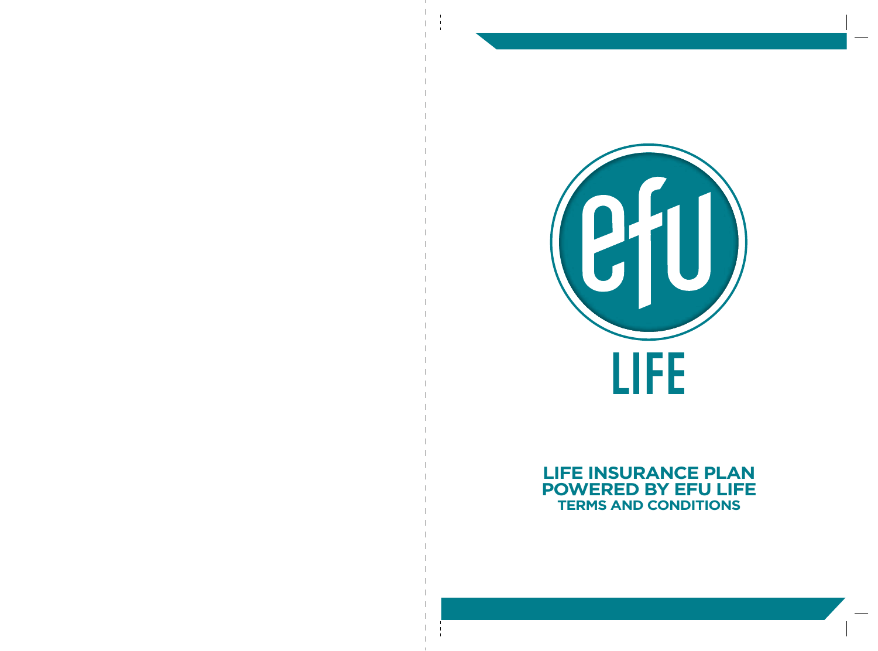

## **LIFE INSURANCE PLAN POWERED BY EFU LIFE TERMS AND CONDITIONS**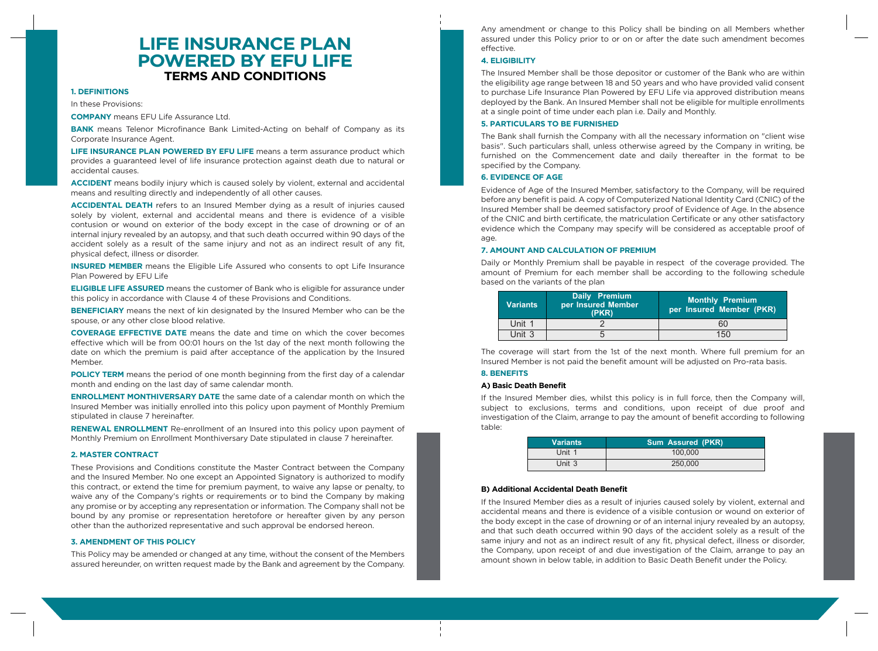# **LIFE INSURANCE PLAN POWERED BY EFU LIFE TERMS AND CONDITIONS**

## **1. DEFINITIONS**

In these Provisions:

**COMPANY** means EFU Life Assurance Ltd.

**BANK** means Telenor Microfinance Bank Limited-Acting on behalf of Company as its Corporate Insurance Agent.

**LIFE INSURANCE PLAN POWERED BY EFU LIFE** means a term assurance product which provides a guaranteed level of life insurance protection against death due to natural or accidental causes.

**ACCIDENT** means bodily injury which is caused solely by violent, external and accidental means and resulting directly and independently of all other causes.

**ACCIDENTAL DEATH** refers to an Insured Member dying as a result of injuries caused solely by violent, external and accidental means and there is evidence of a visible contusion or wound on exterior of the body except in the case of drowning or of an internal injury revealed by an autopsy, and that such death occurred within 90 days of the accident solely as a result of the same injury and not as an indirect result of any fit, physical defect, illness or disorder.

**INSURED MEMBER** means the Eligible Life Assured who consents to opt Life Insurance Plan Powered by EFU Life

**ELIGIBLE LIFE ASSURED** means the customer of Bank who is eligible for assurance under this policy in accordance with Clause 4 of these Provisions and Conditions.

**BENEFICIARY** means the next of kin designated by the Insured Member who can be the spouse, or any other close blood relative.

**COVERAGE EFFECTIVE DATE** means the date and time on which the cover becomes effective which will be from 00:01 hours on the 1st day of the next month following the date on which the premium is paid after acceptance of the application by the Insured Member.

**POLICY TERM** means the period of one month beginning from the first day of a calendar month and ending on the last day of same calendar month.

**ENROLLMENT MONTHIVERSARY DATE** the same date of a calendar month on which the Insured Member was initially enrolled into this policy upon payment of Monthly Premium stipulated in clause 7 hereinafter.

**RENEWAL ENROLLMENT** Re-enrollment of an Insured into this policy upon payment of Monthly Premium on Enrollment Monthiversary Date stipulated in clause 7 hereinafter.

#### **2. MASTER CONTRACT**

These Provisions and Conditions constitute the Master Contract between the Company and the Insured Member. No one except an Appointed Signatory is authorized to modify this contract, or extend the time for premium payment, to waive any lapse or penalty, to waive any of the Company's rights or requirements or to bind the Company by making any promise or by accepting any representation or information. The Company shall not be bound by any promise or representation heretofore or hereafter given by any person other than the authorized representative and such approval be endorsed hereon.

#### **3. AMENDMENT OF THIS POLICY**

This Policy may be amended or changed at any time, without the consent of the Members assured hereunder, on written request made by the Bank and agreement by the Company.

Any amendment or change to this Policy shall be binding on all Members whether assured under this Policy prior to or on or after the date such amendment becomes effective.

## **4. ELIGIBILITY**

The Insured Member shall be those depositor or customer of the Bank who are within the eligibility age range between 18 and 50 years and who have provided valid consent to purchase Life Insurance Plan Powered by EFU Life via approved distribution means deployed by the Bank. An Insured Member shall not be eligible for multiple enrollments at a single point of time under each plan i.e. Daily and Monthly.

#### **5. PARTICULARS TO BE FURNISHED**

The Bank shall furnish the Company with all the necessary information on "client wise basis". Such particulars shall, unless otherwise agreed by the Company in writing, be furnished on the Commencement date and daily thereafter in the format to be specified by the Company.

### **6. EVIDENCE OF AGE**

Evidence of Age of the Insured Member, satisfactory to the Company, will be required before any benefit is paid. A copy of Computerized National Identity Card (CNIC) of the Insured Member shall be deemed satisfactory proof of Evidence of Age. In the absence of the CNIC and birth certificate, the matriculation Certificate or any other satisfactory evidence which the Company may specify will be considered as acceptable proof of age.

#### **7. AMOUNT AND CALCULATION OF PREMIUM**

Daily or Monthly Premium shall be payable in respect of the coverage provided. The amount of Premium for each member shall be according to the following schedule based on the variants of the plan

| <b>Variants</b> | Daily Premium<br>per Insured Member<br>(PKR) | Monthly Premium<br>per Insured Member (PKR) |
|-----------------|----------------------------------------------|---------------------------------------------|
| Unit 1          |                                              | 60                                          |
| Unit 3          |                                              | 150                                         |

The coverage will start from the 1st of the next month. Where full premium for an Insured Member is not paid the benefit amount will be adjusted on Pro-rata basis.

## **8. BENEFITS**

#### **A) Basic Death Benefit**

If the Insured Member dies, whilst this policy is in full force, then the Company will, subject to exclusions, terms and conditions, upon receipt of due proof and investigation of the Claim, arrange to pay the amount of benefit according to following table:

| <b>Variants</b> | <b>Sum Assured (PKR)</b> |
|-----------------|--------------------------|
| Unit 1          | 100,000                  |
| Unit 3          | 250,000                  |

#### **B) Additional Accidental Death Benefit**

If the Insured Member dies as a result of injuries caused solely by violent, external and accidental means and there is evidence of a visible contusion or wound on exterior of the body except in the case of drowning or of an internal injury revealed by an autopsy, and that such death occurred within 90 days of the accident solely as a result of the same injury and not as an indirect result of any fit, physical defect, illness or disorder, the Company, upon receipt of and due investigation of the Claim, arrange to pay an amount shown in below table, in addition to Basic Death Benefit under the Policy.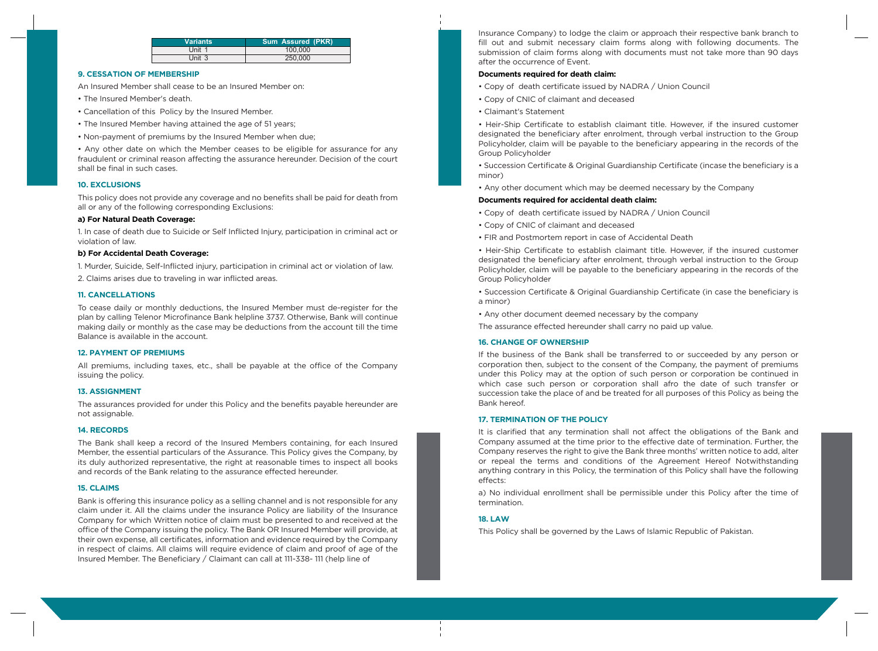| <b>Variants</b> | <b>Sum Assured (PKR)</b> |
|-----------------|--------------------------|
| Unit 1          | 100.000                  |
| Unit 3          | 250,000                  |

## **9. CESSATION OF MEMBERSHIP**

An Insured Member shall cease to be an Insured Member on:

- The Insured Member's death.
- Cancellation of this Policy by the Insured Member.
- The Insured Member having attained the age of 51 years;
- Non-payment of premiums by the Insured Member when due;

• Any other date on which the Member ceases to be eligible for assurance for any fraudulent or criminal reason affecting the assurance hereunder. Decision of the court shall be final in such cases.

## **10. EXCLUSIONS**

This policy does not provide any coverage and no benefits shall be paid for death from all or any of the following corresponding Exclusions:

## **a) For Natural Death Coverage:**

1. In case of death due to Suicide or Self Inflicted Injury, participation in criminal act or violation of law.

## **b) For Accidental Death Coverage:**

1. Murder, Suicide, Self-Inflicted injury, participation in criminal act or violation of law.

2. Claims arises due to traveling in war inflicted areas.

### **11. CANCELLATIONS**

To cease daily or monthly deductions, the Insured Member must de-register for the plan by calling Telenor Microfinance Bank helpline 3737. Otherwise, Bank will continue making daily or monthly as the case may be deductions from the account till the time Balance is available in the account.

#### **12. PAYMENT OF PREMIUMS**

All premiums, including taxes, etc., shall be payable at the office of the Company issuing the policy.

## **13. ASSIGNMENT**

The assurances provided for under this Policy and the benefits payable hereunder are not assignable.

#### **14. RECORDS**

The Bank shall keep a record of the Insured Members containing, for each Insured Member, the essential particulars of the Assurance. This Policy gives the Company, by its duly authorized representative, the right at reasonable times to inspect all books and records of the Bank relating to the assurance effected hereunder.

## **15. CLAIMS**

Bank is offering this insurance policy as a selling channel and is not responsible for any claim under it. All the claims under the insurance Policy are liability of the Insurance Company for which Written notice of claim must be presented to and received at the office of the Company issuing the policy. The Bank OR Insured Member will provide, at their own expense, all certificates, information and evidence required by the Company in respect of claims. All claims will require evidence of claim and proof of age of the Insured Member. The Beneficiary / Claimant can call at 111-338- 111 (help line of

Insurance Company) to lodge the claim or approach their respective bank branch to fill out and submit necessary claim forms along with following documents. The submission of claim forms along with documents must not take more than 90 days after the occurrence of Event.

#### **Documents required for death claim:**

- Copy of death certificate issued by NADRA / Union Council
- Copy of CNIC of claimant and deceased
- Claimant's Statement

• Heir-Ship Certificate to establish claimant title. However, if the insured customer designated the beneficiary after enrolment, through verbal instruction to the Group Policyholder, claim will be payable to the beneficiary appearing in the records of the Group Policyholder

• Succession Certificate & Original Guardianship Certificate (incase the beneficiary is a minor)

• Any other document which may be deemed necessary by the Company

## **Documents required for accidental death claim:**

- Copy of death certificate issued by NADRA / Union Council
- Copy of CNIC of claimant and deceased
- FIR and Postmortem report in case of Accidental Death

• Heir-Ship Certificate to establish claimant title. However, if the insured customer designated the beneficiary after enrolment, through verbal instruction to the Group Policyholder, claim will be payable to the beneficiary appearing in the records of the Group Policyholder

• Succession Certificate & Original Guardianship Certificate (in case the beneficiary is a minor)

- Any other document deemed necessary by the company
- The assurance effected hereunder shall carry no paid up value.

#### **16. CHANGE OF OWNERSHIP**

If the business of the Bank shall be transferred to or succeeded by any person or corporation then, subject to the consent of the Company, the payment of premiums under this Policy may at the option of such person or corporation be continued in which case such person or corporation shall afro the date of such transfer or succession take the place of and be treated for all purposes of this Policy as being the Bank hereof.

## **17. TERMINATION OF THE POLICY**

It is clarified that any termination shall not affect the obligations of the Bank and Company assumed at the time prior to the effective date of termination. Further, the Company reserves the right to give the Bank three months' written notice to add, alter or repeal the terms and conditions of the Agreement Hereof Notwithstanding anything contrary in this Policy, the termination of this Policy shall have the following effects:

a) No individual enrollment shall be permissible under this Policy after the time of termination.

## **18. LAW**

This Policy shall be governed by the Laws of Islamic Republic of Pakistan.